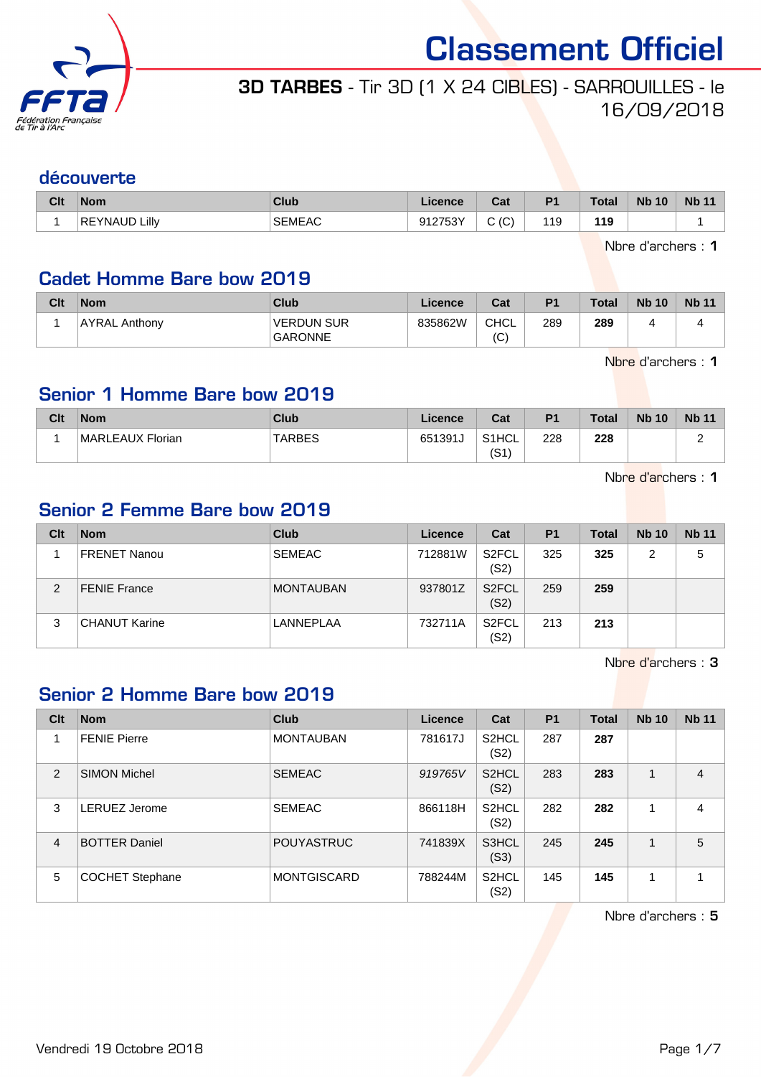

# 3D TARBES - Tir 3D (1 X 24 CIBLES) - SARROUILLES - le 16/09/2018

### découverte

| Clt | <b>Nom</b>           | Club                                                                                                                             | Licence                     | $R_{\rm{at}}$<br>ual | P <sub>1</sub> | Total     | <b>Nb 10</b> | <b>Nb 11</b> |
|-----|----------------------|----------------------------------------------------------------------------------------------------------------------------------|-----------------------------|----------------------|----------------|-----------|--------------|--------------|
|     | <b>REYNAUD Lilly</b> | <b>SEMEAC</b><br>the contract of the contract of the contract of the contract of the contract of the contract of the contract of | 012752V<br>ອ ເ∠ <b>ເ</b> ບບ | $\sim$<br>' پ<br>ັ   | 119            | 119<br>__ |              |              |

Nbre d'archers : 1

### Cadet Homme Bare bow 2019

| Clt | <b>Nom</b>    | Club                                | Licence | Cat                | P <sub>1</sub> | <b>Total</b> | <b>Nb 10</b> | <b>Nb 11</b> |
|-----|---------------|-------------------------------------|---------|--------------------|----------------|--------------|--------------|--------------|
|     | AYRAL Anthony | <b>VERDUN SUR</b><br><b>GARONNE</b> | 835862W | <b>CHCL</b><br>(C) | 289            | 289          |              |              |

Nbre d'archers : 1

### Senior 1 Homme Bare bow 2019

| Clt | <b>Nom</b>       | Club          | Licence | Cat           | P <sub>1</sub> | <b>Total</b> | <b>Nb 10</b> | <b>Nb 11</b> |
|-----|------------------|---------------|---------|---------------|----------------|--------------|--------------|--------------|
|     | MARLEAUX Florian | <b>TARBES</b> | 651391J | S1HCL<br>(S1) | 228            | 228          |              |              |

Nbre d'archers : 1

### Senior 2 Femme Bare bow 2019

| Clt | <b>Nom</b>           | <b>Club</b>      | Licence | Cat                        | <b>P1</b> | Total | <b>Nb 10</b> | <b>Nb 11</b> |
|-----|----------------------|------------------|---------|----------------------------|-----------|-------|--------------|--------------|
|     | FRENET Nanou         | <b>SEMEAC</b>    | 712881W | S <sub>2</sub> FCL<br>(S2) | 325       | 325   | 2            | 5            |
| 2   | <b>FENIE France</b>  | <b>MONTAUBAN</b> | 937801Z | S <sub>2</sub> FCL<br>(S2) | 259       | 259   |              |              |
| 3   | <b>CHANUT Karine</b> | LANNEPLAA        | 732711A | S <sub>2</sub> FCL<br>(S2) | 213       | 213   |              |              |

Nbre d'archers : 3

### Senior 2 Homme Bare bow 2019

| Clt            | <b>Nom</b>             | <b>Club</b>        | Licence | Cat                        | P <sub>1</sub> | <b>Total</b> | <b>Nb 10</b> | <b>Nb 11</b>   |
|----------------|------------------------|--------------------|---------|----------------------------|----------------|--------------|--------------|----------------|
|                | <b>FENIE Pierre</b>    | <b>MONTAUBAN</b>   | 781617J | S <sub>2</sub> HCL<br>(S2) | 287            | 287          |              |                |
| 2              | <b>SIMON Michel</b>    | <b>SEMEAC</b>      | 919765V | S <sub>2</sub> HCL<br>(S2) | 283            | 283          | 1            | $\overline{4}$ |
| 3              | LERUEZ Jerome          | <b>SEMEAC</b>      | 866118H | S <sub>2</sub> HCL<br>(S2) | 282            | 282          |              | $\overline{4}$ |
| $\overline{4}$ | <b>BOTTER Daniel</b>   | <b>POUYASTRUC</b>  | 741839X | S3HCL<br>(S3)              | 245            | 245          |              | 5              |
| 5              | <b>COCHET Stephane</b> | <b>MONTGISCARD</b> | 788244M | S <sub>2</sub> HCL<br>(S2) | 145            | 145          | 4            |                |

Nbre d'archers : 5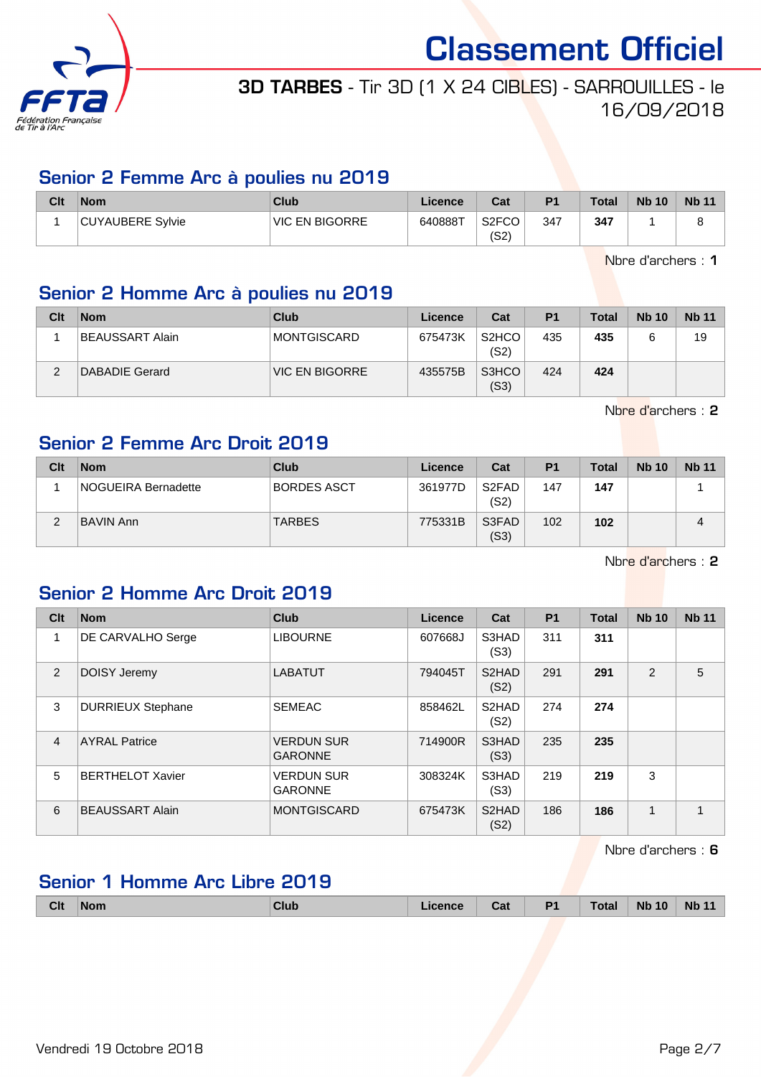

## 3D TARBES - Tir 3D (1 X 24 CIBLES) - SARROUILLES - le 16/09/2018

### Senior 2 Femme Arc à poulies nu 2019

| Clt | <b>Nom</b>       | Club                  | Licence | Cat                        | P <sub>1</sub> | <b>Total</b> | <b>Nb 10</b> | <b>Nb 11</b> |
|-----|------------------|-----------------------|---------|----------------------------|----------------|--------------|--------------|--------------|
|     | CUYAUBERE Sylvie | <b>VIC EN BIGORRE</b> | 640888T | S <sub>2</sub> FCO<br>(S2) | 347            | 347          |              |              |

Nbre d'archers : 1

### Senior 2 Homme Arc à poulies nu 2019

| Clt | <b>Nom</b>      | Club           | Licence | Cat                                    | P <sub>1</sub> | <b>Total</b> | <b>Nb 10</b> | <b>Nb 11</b> |
|-----|-----------------|----------------|---------|----------------------------------------|----------------|--------------|--------------|--------------|
|     | BEAUSSART Alain | MONTGISCARD    | 675473K | S <sub>2</sub> H <sub>CO</sub><br>(S2) | 435            | 435          |              | 19           |
| ◠   | DABADIE Gerard  | VIC EN BIGORRE | 435575B | S3HCO<br>(S3)                          | 424            | 424          |              |              |

Nbre d'archers : 2

### Senior 2 Femme Arc Droit 2019

| Clt | <b>Nom</b>                 | Club          | Licence | Cat           | P <sub>1</sub> | <b>Total</b> | <b>Nb 10</b> | <b>Nb 11</b> |
|-----|----------------------------|---------------|---------|---------------|----------------|--------------|--------------|--------------|
|     | <b>NOGUEIRA Bernadette</b> | BORDES ASCT   | 361977D | S2FAD<br>(S2) | 147            | 147          |              |              |
| c   | <b>BAVIN Ann</b>           | <b>TARBES</b> | 775331B | S3FAD<br>(S3) | 102            | 102          |              |              |

Nbre d'archers : 2

### Senior 2 Homme Arc Droit 2019

| Clt            | <b>Nom</b>               | Club                                | Licence | Cat                        | <b>P1</b> | <b>Total</b> | <b>Nb 10</b>   | <b>Nb 11</b>   |
|----------------|--------------------------|-------------------------------------|---------|----------------------------|-----------|--------------|----------------|----------------|
|                | <b>DE CARVALHO Serge</b> | <b>LIBOURNE</b>                     | 607668J | S3HAD<br>(S3)              | 311       | 311          |                |                |
| 2              | DOISY Jeremy             | <b>LABATUT</b>                      | 794045T | S <sub>2</sub> HAD<br>(S2) | 291       | 291          | $\overline{2}$ | 5              |
| 3              | <b>DURRIEUX Stephane</b> | <b>SEMEAC</b>                       | 858462L | S <sub>2</sub> HAD<br>(S2) | 274       | 274          |                |                |
| $\overline{4}$ | <b>AYRAL Patrice</b>     | <b>VERDUN SUR</b><br><b>GARONNE</b> | 714900R | S3HAD<br>(S3)              | 235       | 235          |                |                |
| 5              | <b>BERTHELOT Xavier</b>  | <b>VERDUN SUR</b><br><b>GARONNE</b> | 308324K | S3HAD<br>(S3)              | 219       | 219          | 3              |                |
| 6              | <b>BEAUSSART Alain</b>   | <b>MONTGISCARD</b>                  | 675473K | S <sub>2</sub> HAD<br>(S2) | 186       | 186          | 1              | $\overline{ }$ |

Nbre d'archers : 6

### Senior 1 Homme Arc Libre 2019

| <b>Clt</b> | ∣Nom<br>------ | <b>Club</b> | Licence | Cat | P <sub>1</sub><br>. . | Total | <b>Nb</b><br>10 | <b>Nb</b> |
|------------|----------------|-------------|---------|-----|-----------------------|-------|-----------------|-----------|
|            |                |             |         |     |                       |       |                 |           |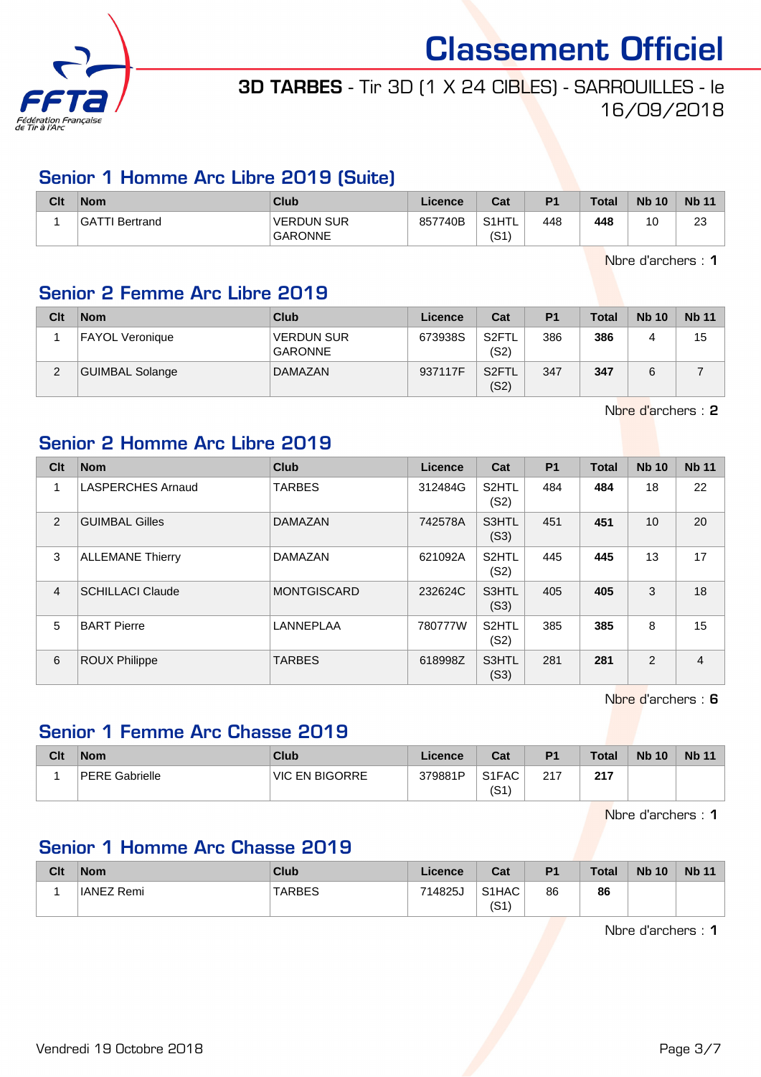

# 3D TARBES - Tir 3D (1 X 24 CIBLES) - SARROUILLES - le 16/09/2018

### Senior 1 Homme Arc Libre 2019 (Suite)

| Clt | Nom            | Club                                | Licence | Cat           | P <sub>1</sub> | <b>Total</b> | <b>Nb 10</b> | <b>Nb 11</b> |
|-----|----------------|-------------------------------------|---------|---------------|----------------|--------------|--------------|--------------|
|     | GATTI Bertrand | <b>VERDUN SUR</b><br><b>GARONNE</b> | 857740B | S1HTL<br>(S1` | 448            | 448          | 10           | 23           |

Nbre d'archers : 1

### Senior 2 Femme Arc Libre 2019

| Clt | <b>Nom</b>             | Club                                | Licence | Cat                        | P <sub>1</sub> | <b>Total</b> | <b>Nb 10</b> | <b>Nb 11</b> |
|-----|------------------------|-------------------------------------|---------|----------------------------|----------------|--------------|--------------|--------------|
|     | <b>FAYOL Veronique</b> | <b>VERDUN SUR</b><br><b>GARONNE</b> | 673938S | S <sub>2</sub> FTL<br>(S2) | 386            | 386          |              | 15           |
| 2   | <b>GUIMBAL Solange</b> | <b>DAMAZAN</b>                      | 937117F | S <sub>2</sub> FTL<br>(S2) | 347            | 347          |              |              |

Nbre d'archers : 2

### Senior 2 Homme Arc Libre 2019

| Clt            | <b>Nom</b>               | <b>Club</b>        | Licence | Cat                        | <b>P1</b> | <b>Total</b> | <b>Nb 10</b>    | <b>Nb 11</b>   |
|----------------|--------------------------|--------------------|---------|----------------------------|-----------|--------------|-----------------|----------------|
| 1              | <b>LASPERCHES Arnaud</b> | <b>TARBES</b>      | 312484G | S <sub>2</sub> HTL<br>(S2) | 484       | 484          | 18              | 22             |
| 2              | <b>GUIMBAL Gilles</b>    | <b>DAMAZAN</b>     | 742578A | S3HTL<br>(S3)              | 451       | 451          | 10 <sup>1</sup> | 20             |
| 3              | <b>ALLEMANE Thierry</b>  | <b>DAMAZAN</b>     | 621092A | S <sub>2</sub> HTL<br>(S2) | 445       | 445          | 13              | 17             |
| $\overline{4}$ | <b>SCHILLACI Claude</b>  | <b>MONTGISCARD</b> | 232624C | S3HTL<br>(S3)              | 405       | 405          | 3               | 18             |
| 5              | <b>BART Pierre</b>       | <b>LANNEPLAA</b>   | 780777W | S2HTL<br>(S2)              | 385       | 385          | 8               | 15             |
| 6              | <b>ROUX Philippe</b>     | <b>TARBES</b>      | 618998Z | S3HTL<br>(S3)              | 281       | 281          | 2               | $\overline{4}$ |

Nbre d'archers : 6

### Senior 1 Femme Arc Chasse 2019

| Clt | <b>Nom</b>            | Club                  | Licence | Cat                                    | P <sub>1</sub> | <b>Total</b> | <b>Nb 10</b> | <b>Nb 11</b> |
|-----|-----------------------|-----------------------|---------|----------------------------------------|----------------|--------------|--------------|--------------|
|     | <b>PERE Gabrielle</b> | <b>VIC EN BIGORRE</b> | 379881P | S <sub>1</sub> F <sub>AC</sub><br>(S1` | 217            | 217          |              |              |

Nbre d'archers : 1

### Senior 1 Homme Arc Chasse 2019

| Clt | <b>Nom</b>        | Club   | Licence | Cat           | P <sub>1</sub> | <b>Total</b> | <b>Nb 10</b> | <b>Nb 11</b> |
|-----|-------------------|--------|---------|---------------|----------------|--------------|--------------|--------------|
|     | <b>IANEZ Remi</b> | TARBES | 714825J | S1HAC<br>(S1) | 86             | 86           |              |              |

Nbre d'archers : 1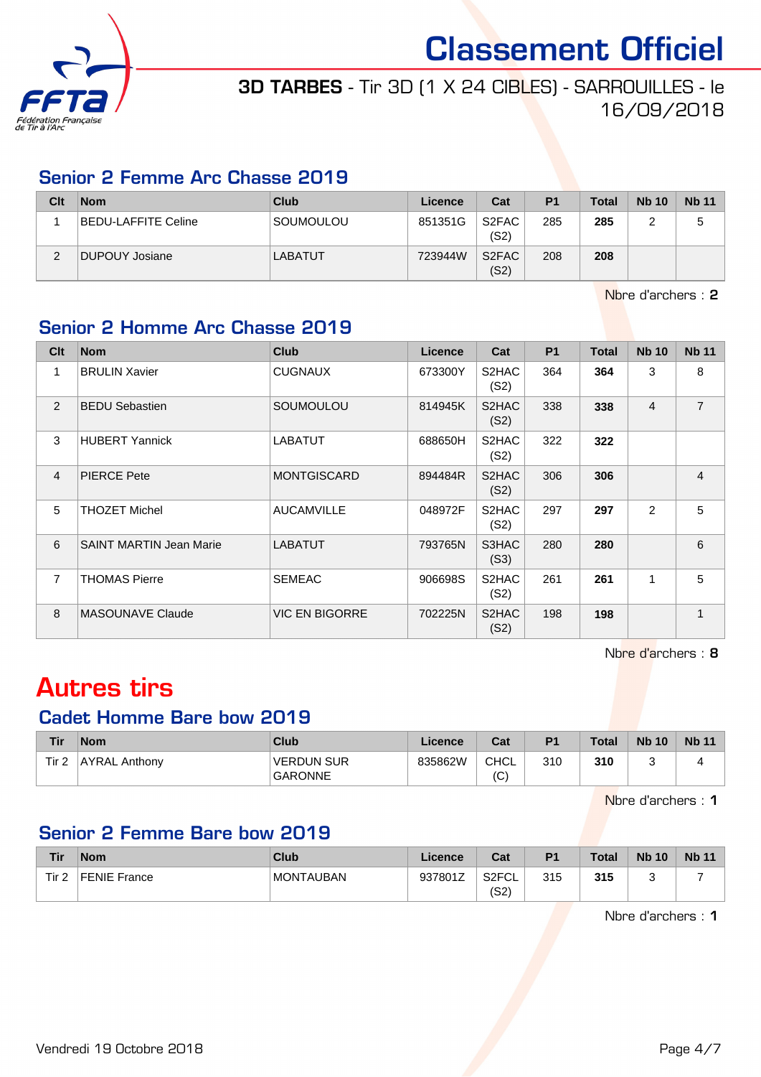

# 3D TARBES - Tir 3D (1 X 24 CIBLES) - SARROUILLES - le 16/09/2018

### Senior 2 Femme Arc Chasse 2019

| Clt | <b>Nom</b>          | <b>Club</b>    | Licence | Cat                        | P <sub>1</sub> | <b>Total</b> | <b>Nb 10</b> | <b>Nb 11</b> |
|-----|---------------------|----------------|---------|----------------------------|----------------|--------------|--------------|--------------|
|     | BEDU-LAFFITE Celine | SOUMOULOU      | 851351G | S <sub>2</sub> FAC<br>(S2) | 285            | 285          |              | 5            |
| ◠   | DUPOUY Josiane      | <b>LABATUT</b> | 723944W | S <sub>2</sub> FAC<br>(S2) | 208            | 208          |              |              |

Nbre d'archers : 2

### Senior 2 Homme Arc Chasse 2019

| Cl <sub>t</sub> | <b>Nom</b>                     | <b>Club</b>           | <b>Licence</b> | Cat                        | <b>P1</b> | <b>Total</b> | <b>Nb 10</b>   | <b>Nb 11</b>   |
|-----------------|--------------------------------|-----------------------|----------------|----------------------------|-----------|--------------|----------------|----------------|
| 1               | <b>BRULIN Xavier</b>           | <b>CUGNAUX</b>        | 673300Y        | S2HAC<br>(S2)              | 364       | 364          | 3              | 8              |
| 2               | <b>BEDU Sebastien</b>          | <b>SOUMOULOU</b>      | 814945K        | S <sub>2</sub> HAC<br>(S2) | 338       | 338          | $\overline{4}$ | $\overline{7}$ |
| 3               | <b>HUBERT Yannick</b>          | <b>LABATUT</b>        | 688650H        | S <sub>2</sub> HAC<br>(S2) | 322       | 322          |                |                |
| $\overline{4}$  | <b>PIERCE Pete</b>             | <b>MONTGISCARD</b>    | 894484R        | S2HAC<br>(S2)              | 306       | 306          |                | $\overline{4}$ |
| 5               | <b>THOZET Michel</b>           | <b>AUCAMVILLE</b>     | 048972F        | S2HAC<br>(S2)              | 297       | 297          | 2              | 5              |
| 6               | <b>SAINT MARTIN Jean Marie</b> | <b>LABATUT</b>        | 793765N        | S3HAC<br>(S3)              | 280       | 280          |                | 6              |
| $\overline{7}$  | <b>THOMAS Pierre</b>           | <b>SEMEAC</b>         | 906698S        | S2HAC<br>(S2)              | 261       | 261          | 1              | 5              |
| 8               | <b>MASOUNAVE Claude</b>        | <b>VIC EN BIGORRE</b> | 702225N        | S <sub>2</sub> HAC<br>(S2) | 198       | 198          |                | 1              |

Nbre d'archers : 8

# Autres tirs

### Cadet Homme Bare bow 2019

| <b>Tir</b> | <b>Nom</b>           | Club                                | Licence | Cat                 | P <sub>1</sub> | <b>Total</b> | <b>Nb 10</b> | <b>Nb 11</b> |
|------------|----------------------|-------------------------------------|---------|---------------------|----------------|--------------|--------------|--------------|
| Tir 2      | <b>AYRAL Anthony</b> | <b>VERDUN SUR</b><br><b>GARONNE</b> | 835862W | CHCL<br>$\sim$<br>◡ | 310            | 310          |              |              |

Nbre d'archers : 1

### Senior 2 Femme Bare bow 2019

| <b>Tir</b> | ∣Nom         | Club             | Licence | Cat                        | P <sub>1</sub> | <b>Total</b> | <b>Nb 10</b> | <b>Nb 11</b> |
|------------|--------------|------------------|---------|----------------------------|----------------|--------------|--------------|--------------|
| Tir 2      | FENIE France | <b>MONTAUBAN</b> | 937801Z | S <sub>2</sub> FCL<br>(S2) | 315            | 315          |              |              |

Nbre d'archers : 1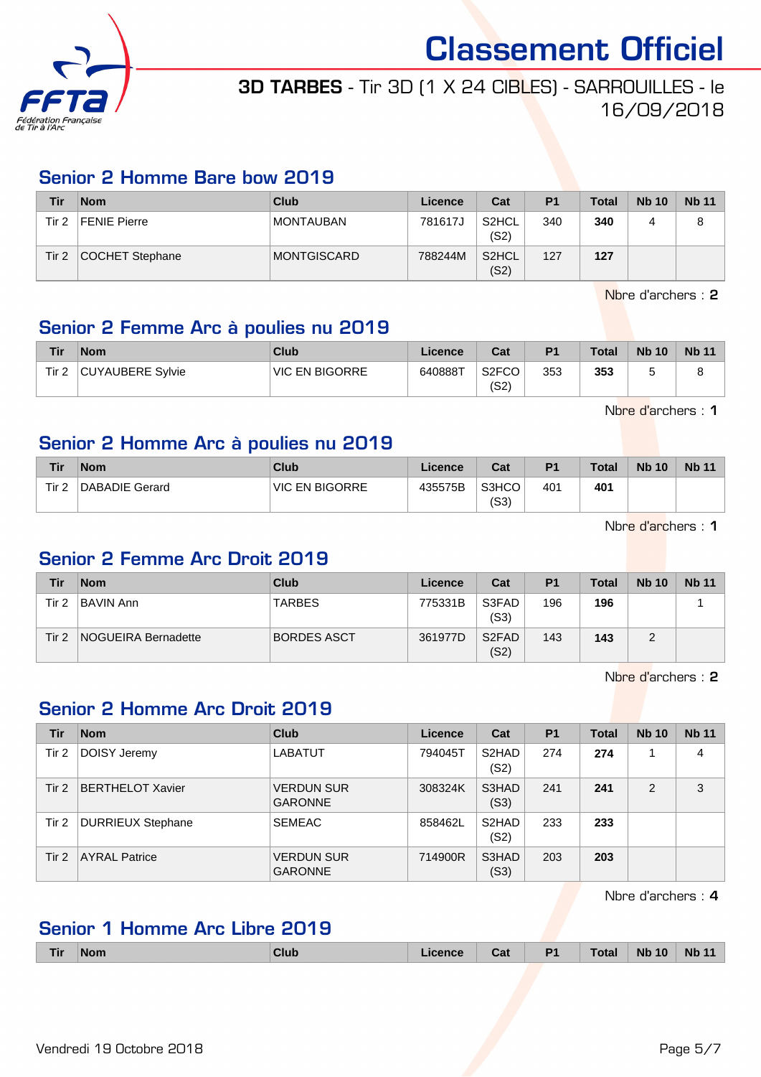

## 3D TARBES - Tir 3D (1 X 24 CIBLES) - SARROUILLES - le 16/09/2018

### Senior 2 Homme Bare bow 2019

| Tir   | <b>Nom</b>          | Club             | Licence | Cat                        | P <sub>1</sub> | Total | <b>Nb 10</b> | <b>Nb 11</b> |
|-------|---------------------|------------------|---------|----------------------------|----------------|-------|--------------|--------------|
| Tir 2 | <b>FENIE Pierre</b> | <b>MONTAUBAN</b> | 781617J | S2HCL<br>(S2)              | 340            | 340   |              |              |
| Tir 2 | COCHET Stephane     | MONTGISCARD      | 788244M | S <sub>2</sub> HCL<br>(S2) | 127            | 127   |              |              |

Nbre d'archers : 2

### Senior 2 Femme Arc à poulies nu 2019

| <b>Tir</b> | <b>Nom</b>       | Club                  | Licence | Cat                        | P <sub>1</sub> | <b>Total</b> | <b>Nb 10</b> | <b>Nb 11</b> |
|------------|------------------|-----------------------|---------|----------------------------|----------------|--------------|--------------|--------------|
| Tir 2      | CUYAUBERE Sylvie | <b>VIC EN BIGORRE</b> | 640888T | S <sub>2</sub> FCO<br>(S2) | 353            | 353          |              |              |

Nbre d'archers : 1

### Senior 2 Homme Arc à poulies nu 2019

| Tir              | <b>Nom</b>     | Club           | <b>Licence</b> | Cat           | P <sub>1</sub> | <b>Total</b> | <b>Nb 10</b> | <b>Nb 11</b> |
|------------------|----------------|----------------|----------------|---------------|----------------|--------------|--------------|--------------|
| Tir <sub>2</sub> | DABADIE Gerard | VIC EN BIGORRE | 435575B        | S3HCO<br>(S3) | 401            | 401          |              |              |

Nbre d'archers : 1

### Senior 2 Femme Arc Droit 2019

| Tir   | <b>Nom</b>                 | Club               | Licence | Cat                        | P <sub>1</sub> | <b>Total</b> | <b>Nb 10</b> | <b>Nb 11</b> |
|-------|----------------------------|--------------------|---------|----------------------------|----------------|--------------|--------------|--------------|
| Tir 2 | <b>BAVIN Ann</b>           | <b>TARBES</b>      | 775331B | S3FAD<br>(S3)              | 196            | 196          |              |              |
| Tir 2 | <b>NOGUEIRA Bernadette</b> | <b>BORDES ASCT</b> | 361977D | S <sub>2</sub> FAD<br>(S2) | 143            | 143          |              |              |

Nbre d'archers : 2

### Senior 2 Homme Arc Droit 2019

| Tir   | <b>Nom</b>               | <b>Club</b>                         | Licence | Cat                        | <b>P1</b> | <b>Total</b> | <b>Nb 10</b> | <b>Nb 11</b> |
|-------|--------------------------|-------------------------------------|---------|----------------------------|-----------|--------------|--------------|--------------|
| Tir 2 | DOISY Jeremy             | <b>LABATUT</b>                      | 794045T | S <sub>2</sub> HAD<br>(S2) | 274       | 274          |              | 4            |
| Tir 2 | <b>BERTHELOT Xavier</b>  | <b>VERDUN SUR</b><br><b>GARONNE</b> | 308324K | S3HAD<br>(S3)              | 241       | 241          | 2            | 3            |
| Tir 2 | <b>DURRIEUX Stephane</b> | <b>SEMEAC</b>                       | 858462L | S <sub>2</sub> HAD<br>(S2) | 233       | 233          |              |              |
| Tir 2 | <b>AYRAL Patrice</b>     | <b>VERDUN SUR</b><br><b>GARONNE</b> | 714900R | S3HAD<br>(S3)              | 203       | 203          |              |              |

Nbre d'archers : 4

### Senior 1 Homme Arc Libre 2019

| <b>Nb 11</b><br>P <sub>1</sub><br>Total<br><b>Nb 10</b><br>$7$ lub<br><b>Nom</b><br>Cat<br>Гir<br>ionnon |  |  |  |  |  |  |  |  |  |  |
|----------------------------------------------------------------------------------------------------------|--|--|--|--|--|--|--|--|--|--|
|----------------------------------------------------------------------------------------------------------|--|--|--|--|--|--|--|--|--|--|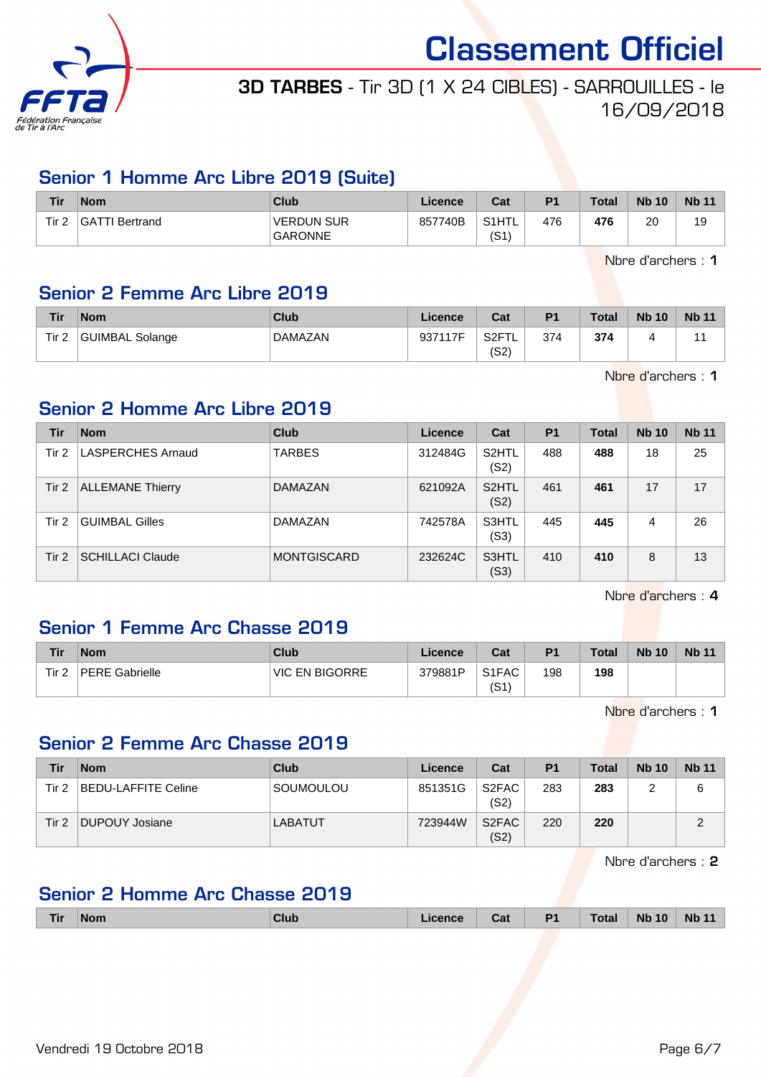

# 3D TARBES - Tir 3D (1 X 24 CIBLES) - SARROUILLES - le 16/09/2018

### Senior 1 Homme Arc Libre 2019 (Suite)

| Tir   | <b>Nom</b>     | Club                                | ∟icence | Cat           | P <sub>1</sub> | <b>Total</b> | <b>Nb 10</b> | <b>Nb 11</b> |
|-------|----------------|-------------------------------------|---------|---------------|----------------|--------------|--------------|--------------|
| Tir 2 | GATTI Bertrand | <b>VERDUN SUR</b><br><b>GARONNE</b> | 857740B | S1HTL<br>(S1` | 476            | 476          | 20           | 19           |

Nbre d'archers : 1

### Senior 2 Femme Arc Libre 2019

| Tir              | <b>Nom</b>      | Club           | Licence | Cat                               | P <sub>1</sub> | <b>Total</b> | <b>Nb 10</b> | <b>Nb 11</b> |
|------------------|-----------------|----------------|---------|-----------------------------------|----------------|--------------|--------------|--------------|
| Tir <sub>2</sub> | GUIMBAL Solange | <b>DAMAZAN</b> | 937117F | S <sub>2F</sub> T<br>╶╹┖╸<br>(S2) | 374            | 374          |              |              |

Nbre d'archers : 1

### Senior 2 Homme Arc Libre 2019

| Tir   | <b>Nom</b>               | <b>Club</b>        | Licence | Cat                        | P <sub>1</sub> | <b>Total</b> | <b>Nb 10</b> | <b>Nb 11</b> |
|-------|--------------------------|--------------------|---------|----------------------------|----------------|--------------|--------------|--------------|
| Tir 2 | <b>LASPERCHES Arnaud</b> | <b>TARBES</b>      | 312484G | S2HTL<br>(S2)              | 488            | 488          | 18           | 25           |
| Tir 2 | <b>ALLEMANE Thierry</b>  | <b>DAMAZAN</b>     | 621092A | S <sub>2</sub> HTL<br>(S2) | 461            | 461          | 17           | 17           |
| Tir 2 | <b>GUIMBAL Gilles</b>    | DAMAZAN            | 742578A | S3HTL<br>(S3)              | 445            | 445          | 4            | 26           |
| Tir 2 | <b>SCHILLACI Claude</b>  | <b>MONTGISCARD</b> | 232624C | S3HTL<br>(S3)              | 410            | 410          | 8            | 13           |

Nbre d'archers : 4

### Senior 1 Femme Arc Chasse 2019

| Tir   | <b>Nom</b>            | Club                  | Licence | Cat                        | P <sub>1</sub> | Total | <b>Nb 10</b> | <b>Nb 11</b> |
|-------|-----------------------|-----------------------|---------|----------------------------|----------------|-------|--------------|--------------|
| Tir 2 | <b>PERE Gabrielle</b> | <b>VIC EN BIGORRE</b> | 379881P | S <sub>1</sub> FAC<br>(S1) | 198            | 198   |              |              |

Nbre d'archers : 1

### Senior 2 Femme Arc Chasse 2019

| Tir   | <b>Nom</b>          | Club      | Licence | Cat                        | P <sub>1</sub> | <b>Total</b> | <b>Nb 10</b> | <b>Nb 11</b> |
|-------|---------------------|-----------|---------|----------------------------|----------------|--------------|--------------|--------------|
| Tir 2 | BEDU-LAFFITE Celine | SOUMOULOU | 851351G | S <sub>2</sub> FAC<br>(S2) | 283            | 283          |              | 6            |
| Tir 2 | DUPOUY Josiane      | LABATUT   | 723944W | S <sub>2</sub> FAC<br>(S2) | 220            | 220          |              |              |

Nbre d'archers : 2

### Senior 2 Homme Arc Chasse 2019

| <b>Tir</b> | <b>Nom</b> | Club | Licence | $\sim$ $\sim$<br>ud. | <b>P1</b> | Total | <b>Nb 10</b> | <b>Nb</b><br>AA |
|------------|------------|------|---------|----------------------|-----------|-------|--------------|-----------------|
|            |            |      |         |                      |           |       |              |                 |